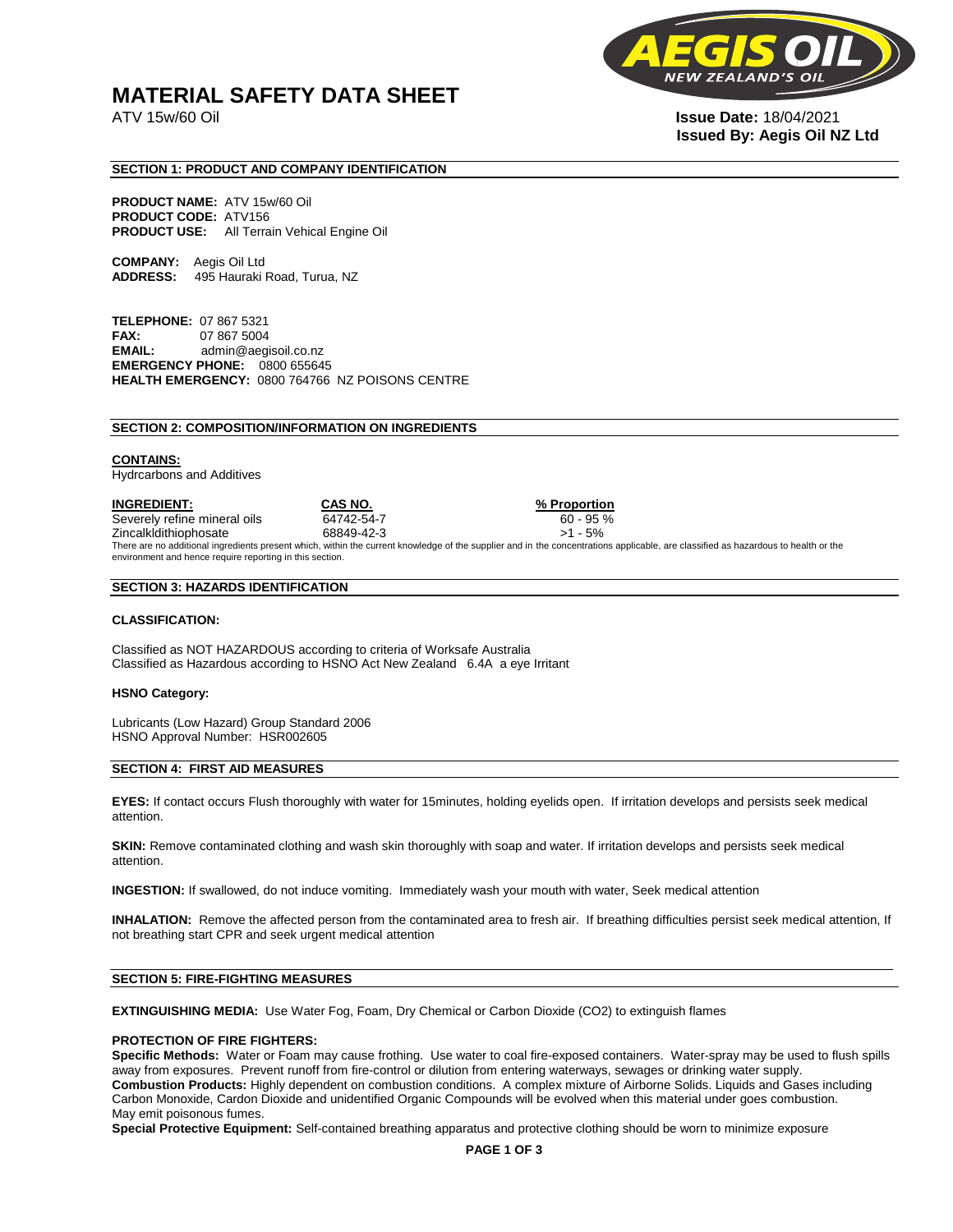# **MATERIAL SAFETY DATA SHEET**

**NEW** 

ATV 15w/60 Oil **Issue Date:** 18/04/2021 **Issued By: Aegis Oil NZ Ltd** 

# **SECTION 1: PRODUCT AND COMPANY IDENTIFICATION**

**PRODUCT NAME:** ATV 15w/60 Oil **PRODUCT CODE:** ATV156 **PRODUCT USE:** All Terrain Vehical Engine Oil

**COMPANY:** Aegis Oil Ltd **ADDRESS:** 495 Hauraki Road, Turua, NZ

**TELEPHONE:** 07 867 5321 **FAX:** 07 867 5004 **EMAIL:** admin@aegisoil.co.nz **EMERGENCY PHONE:** 0800 655645 **HEALTH EMERGENCY:** 0800 764766 NZ POISONS CENTRE

#### **SECTION 2: COMPOSITION/INFORMATION ON INGREDIENTS**

#### **CONTAINS:**

Hydrcarbons and Additives

**INGREDIENT: CAS NO. % Proportion**  Severely refine mineral oils 64742-54-7 60 - 95 % Zincalkldithiophosate 68849-42-3 >1 - 5% There are no additional ingredients present which, within the current knowledge of the supplier and in the concentrations applicable, are classified as hazardous to health or the environment and hence require reporting in this section.

#### **SECTION 3: HAZARDS IDENTIFICATION**

#### **CLASSIFICATION:**

Classified as NOT HAZARDOUS according to criteria of Worksafe Australia Classified as Hazardous according to HSNO Act New Zealand 6.4A a eye Irritant

#### **HSNO Category:**

Lubricants (Low Hazard) Group Standard 2006 HSNO Approval Number: HSR002605

### **SECTION 4: FIRST AID MEASURES**

**EYES:** If contact occurs Flush thoroughly with water for 15minutes, holding eyelids open. If irritation develops and persists seek medical attention.

**SKIN:** Remove contaminated clothing and wash skin thoroughly with soap and water. If irritation develops and persists seek medical attention.

**INGESTION:** If swallowed, do not induce vomiting. Immediately wash your mouth with water, Seek medical attention

**INHALATION:** Remove the affected person from the contaminated area to fresh air. If breathing difficulties persist seek medical attention, If not breathing start CPR and seek urgent medical attention

# **SECTION 5: FIRE-FIGHTING MEASURES**

**EXTINGUISHING MEDIA:** Use Water Fog, Foam, Dry Chemical or Carbon Dioxide (CO2) to extinguish flames

#### **PROTECTION OF FIRE FIGHTERS:**

**Specific Methods:** Water or Foam may cause frothing. Use water to coal fire-exposed containers. Water-spray may be used to flush spills away from exposures. Prevent runoff from fire-control or dilution from entering waterways, sewages or drinking water supply. **Combustion Products:** Highly dependent on combustion conditions. A complex mixture of Airborne Solids. Liquids and Gases including Carbon Monoxide, Cardon Dioxide and unidentified Organic Compounds will be evolved when this material under goes combustion. May emit poisonous fumes.

**Special Protective Equipment:** Self-contained breathing apparatus and protective clothing should be worn to minimize exposure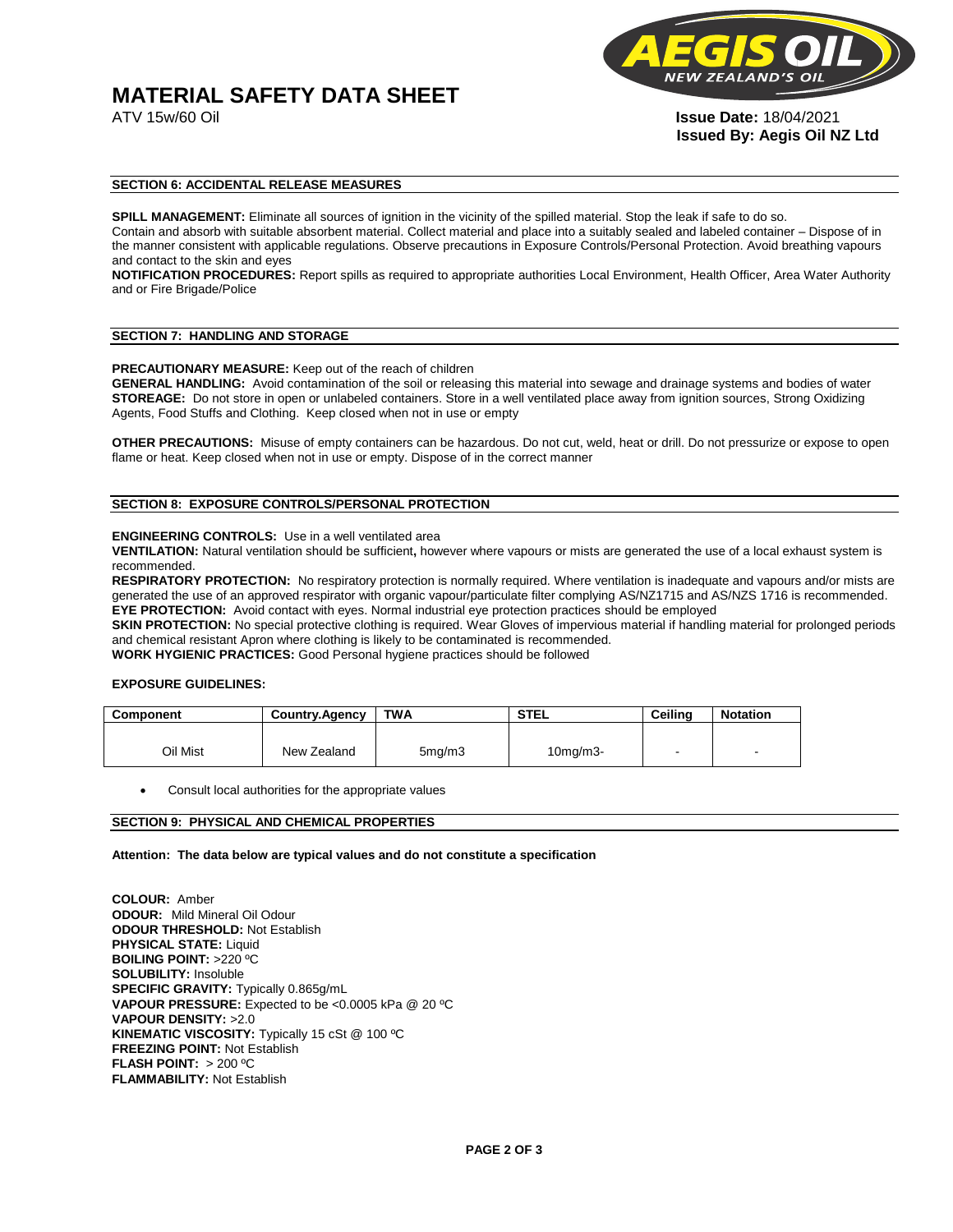# **MATERIAL SAFETY DATA SHEET**



ATV 15w/60 Oil **Issue Date:** 18/04/2021 **Issued By: Aegis Oil NZ Ltd** 

# **SECTION 6: ACCIDENTAL RELEASE MEASURES**

**SPILL MANAGEMENT:** Eliminate all sources of ignition in the vicinity of the spilled material. Stop the leak if safe to do so. Contain and absorb with suitable absorbent material. Collect material and place into a suitably sealed and labeled container – Dispose of in the manner consistent with applicable regulations. Observe precautions in Exposure Controls/Personal Protection. Avoid breathing vapours and contact to the skin and eyes

**NOTIFICATION PROCEDURES:** Report spills as required to appropriate authorities Local Environment, Health Officer, Area Water Authority and or Fire Brigade/Police

#### **SECTION 7: HANDLING AND STORAGE**

**PRECAUTIONARY MEASURE:** Keep out of the reach of children

**GENERAL HANDLING:** Avoid contamination of the soil or releasing this material into sewage and drainage systems and bodies of water **STOREAGE:** Do not store in open or unlabeled containers. Store in a well ventilated place away from ignition sources, Strong Oxidizing Agents, Food Stuffs and Clothing. Keep closed when not in use or empty

**OTHER PRECAUTIONS:** Misuse of empty containers can be hazardous. Do not cut, weld, heat or drill. Do not pressurize or expose to open flame or heat. Keep closed when not in use or empty. Dispose of in the correct manner

# **SECTION 8: EXPOSURE CONTROLS/PERSONAL PROTECTION**

#### **ENGINEERING CONTROLS:** Use in a well ventilated area

**VENTILATION:** Natural ventilation should be sufficient**,** however where vapours or mists are generated the use of a local exhaust system is recommended.

**RESPIRATORY PROTECTION:** No respiratory protection is normally required. Where ventilation is inadequate and vapours and/or mists are generated the use of an approved respirator with organic vapour/particulate filter complying AS/NZ1715 and AS/NZS 1716 is recommended. **EYE PROTECTION:** Avoid contact with eyes. Normal industrial eye protection practices should be employed

**SKIN PROTECTION:** No special protective clothing is required. Wear Gloves of impervious material if handling material for prolonged periods and chemical resistant Apron where clothing is likely to be contaminated is recommended.

**WORK HYGIENIC PRACTICES:** Good Personal hygiene practices should be followed

# **EXPOSURE GUIDELINES:**

| <b>Component</b> | <b>Country.Agency</b> | <b>TWA</b>          | <b>STEL</b>    | Ceilina | <b>Notation</b>          |
|------------------|-----------------------|---------------------|----------------|---------|--------------------------|
|                  |                       |                     |                |         |                          |
| Oil Mist         | New Zealand           | 5 <sub>mq</sub> /m3 | $10$ mg/m $3-$ |         | $\overline{\phantom{a}}$ |

Consult local authorities for the appropriate values

# **SECTION 9: PHYSICAL AND CHEMICAL PROPERTIES**

**Attention: The data below are typical values and do not constitute a specification** 

**COLOUR:** Amber **ODOUR:** Mild Mineral Oil Odour **ODOUR THRESHOLD:** Not Establish **PHYSICAL STATE:** Liquid **BOILING POINT:** >220 ºC **SOLUBILITY:** Insoluble **SPECIFIC GRAVITY:** Typically 0.865g/mL **VAPOUR PRESSURE:** Expected to be <0.0005 kPa @ 20 ºC **VAPOUR DENSITY:** >2.0 **KINEMATIC VISCOSITY:** Typically 15 cSt @ 100 ºC **FREEZING POINT: Not Establish FLASH POINT:** > 200 ºC **FLAMMABILITY:** Not Establish